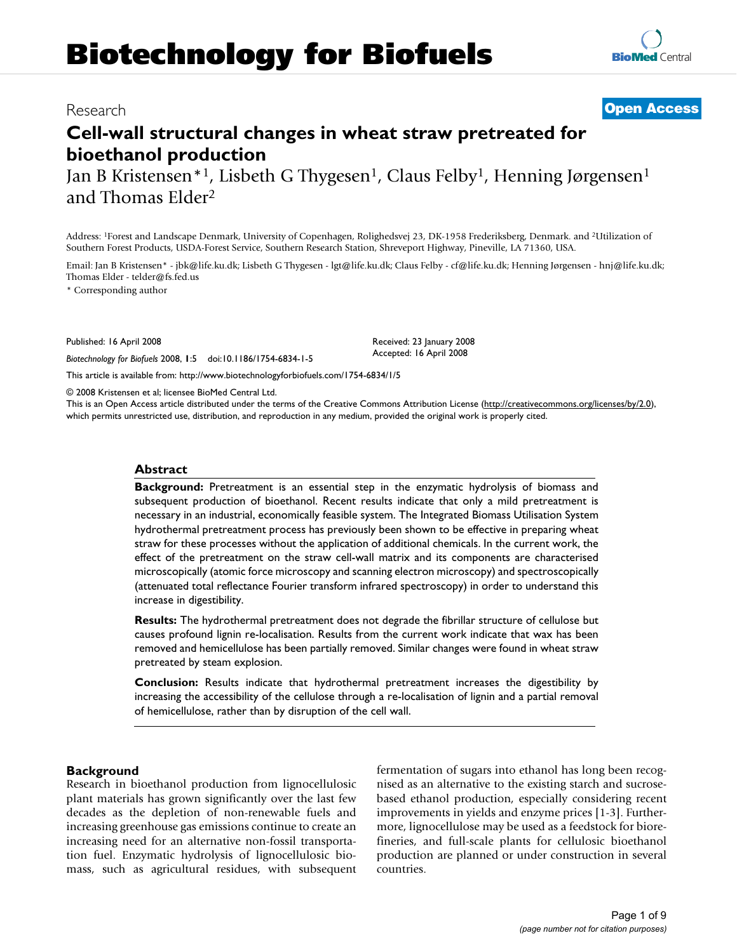# **Biotechnology for Biofuels**

# **Cell-wall structural changes in wheat straw pretreated for bioethanol production**

Jan B Kristensen<sup>\*1</sup>, Lisbeth G Thygesen<sup>1</sup>, Claus Felby<sup>1</sup>, Henning Jørgensen<sup>1</sup> and Thomas Elder2

Address: 1Forest and Landscape Denmark, University of Copenhagen, Rolighedsvej 23, DK-1958 Frederiksberg, Denmark. and 2Utilization of Southern Forest Products, USDA-Forest Service, Southern Research Station, Shreveport Highway, Pineville, LA 71360, USA.

Email: Jan B Kristensen\* - jbk@life.ku.dk; Lisbeth G Thygesen - lgt@life.ku.dk; Claus Felby - cf@life.ku.dk; Henning Jørgensen - hnj@life.ku.dk; Thomas Elder - telder@fs.fed.us

\* Corresponding author

Published: 16 April 2008

*Biotechnology for Biofuels* 2008, **1**:5 doi:10.1186/1754-6834-1-5

[This article is available from: http://www.biotechnologyforbiofuels.com/1754-6834/1/5](http://www.biotechnologyforbiofuels.com/1754-6834/1/5)

© 2008 Kristensen et al; licensee BioMed Central Ltd.

This is an Open Access article distributed under the terms of the Creative Commons Attribution License [\(http://creativecommons.org/licenses/by/2.0\)](http://creativecommons.org/licenses/by/2.0), which permits unrestricted use, distribution, and reproduction in any medium, provided the original work is properly cited.

#### **Abstract**

**Background:** Pretreatment is an essential step in the enzymatic hydrolysis of biomass and subsequent production of bioethanol. Recent results indicate that only a mild pretreatment is necessary in an industrial, economically feasible system. The Integrated Biomass Utilisation System hydrothermal pretreatment process has previously been shown to be effective in preparing wheat straw for these processes without the application of additional chemicals. In the current work, the effect of the pretreatment on the straw cell-wall matrix and its components are characterised microscopically (atomic force microscopy and scanning electron microscopy) and spectroscopically (attenuated total reflectance Fourier transform infrared spectroscopy) in order to understand this increase in digestibility.

**Results:** The hydrothermal pretreatment does not degrade the fibrillar structure of cellulose but causes profound lignin re-localisation. Results from the current work indicate that wax has been removed and hemicellulose has been partially removed. Similar changes were found in wheat straw pretreated by steam explosion.

**Conclusion:** Results indicate that hydrothermal pretreatment increases the digestibility by increasing the accessibility of the cellulose through a re-localisation of lignin and a partial removal of hemicellulose, rather than by disruption of the cell wall.

#### **Background**

Research in bioethanol production from lignocellulosic plant materials has grown significantly over the last few decades as the depletion of non-renewable fuels and increasing greenhouse gas emissions continue to create an increasing need for an alternative non-fossil transportation fuel. Enzymatic hydrolysis of lignocellulosic biomass, such as agricultural residues, with subsequent fermentation of sugars into ethanol has long been recognised as an alternative to the existing starch and sucrosebased ethanol production, especially considering recent improvements in yields and enzyme prices [1-3]. Furthermore, lignocellulose may be used as a feedstock for biorefineries, and full-scale plants for cellulosic bioethanol production are planned or under construction in several countries.

## Research **[Open Access](http://www.biomedcentral.com/info/about/charter/)**

Received: 23 January 2008 Accepted: 16 April 2008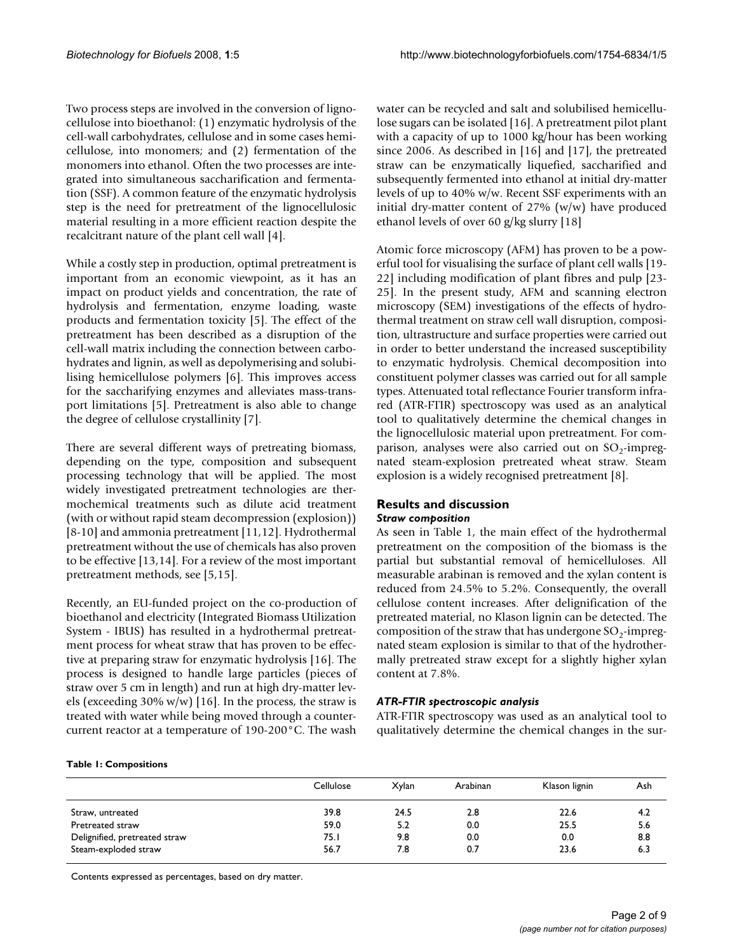Two process steps are involved in the conversion of lignocellulose into bioethanol: (1) enzymatic hydrolysis of the cell-wall carbohydrates, cellulose and in some cases hemicellulose, into monomers; and (2) fermentation of the monomers into ethanol. Often the two processes are integrated into simultaneous saccharification and fermentation (SSF). A common feature of the enzymatic hydrolysis step is the need for pretreatment of the lignocellulosic material resulting in a more efficient reaction despite the recalcitrant nature of the plant cell wall [4].

While a costly step in production, optimal pretreatment is important from an economic viewpoint, as it has an impact on product yields and concentration, the rate of hydrolysis and fermentation, enzyme loading, waste products and fermentation toxicity [5]. The effect of the pretreatment has been described as a disruption of the cell-wall matrix including the connection between carbohydrates and lignin, as well as depolymerising and solubilising hemicellulose polymers [6]. This improves access for the saccharifying enzymes and alleviates mass-transport limitations [5]. Pretreatment is also able to change the degree of cellulose crystallinity [7].

There are several different ways of pretreating biomass, depending on the type, composition and subsequent processing technology that will be applied. The most widely investigated pretreatment technologies are thermochemical treatments such as dilute acid treatment (with or without rapid steam decompression (explosion)) [8-10] and ammonia pretreatment [11,12]. Hydrothermal pretreatment without the use of chemicals has also proven to be effective [13,14]. For a review of the most important pretreatment methods, see [5,15].

Recently, an EU-funded project on the co-production of bioethanol and electricity (Integrated Biomass Utilization System - IBUS) has resulted in a hydrothermal pretreatment process for wheat straw that has proven to be effective at preparing straw for enzymatic hydrolysis [16]. The process is designed to handle large particles (pieces of straw over 5 cm in length) and run at high dry-matter levels (exceeding 30% w/w) [16]. In the process, the straw is treated with water while being moved through a countercurrent reactor at a temperature of 190-200°C. The wash water can be recycled and salt and solubilised hemicellulose sugars can be isolated [16]. A pretreatment pilot plant with a capacity of up to 1000 kg/hour has been working since 2006. As described in [16] and [17], the pretreated straw can be enzymatically liquefied, saccharified and subsequently fermented into ethanol at initial dry-matter levels of up to 40% w/w. Recent SSF experiments with an initial dry-matter content of 27% (w/w) have produced ethanol levels of over 60 g/kg slurry [18]

Atomic force microscopy (AFM) has proven to be a powerful tool for visualising the surface of plant cell walls [19- 22] including modification of plant fibres and pulp [23- 25]. In the present study, AFM and scanning electron microscopy (SEM) investigations of the effects of hydrothermal treatment on straw cell wall disruption, composition, ultrastructure and surface properties were carried out in order to better understand the increased susceptibility to enzymatic hydrolysis. Chemical decomposition into constituent polymer classes was carried out for all sample types. Attenuated total reflectance Fourier transform infrared (ATR-FTIR) spectroscopy was used as an analytical tool to qualitatively determine the chemical changes in the lignocellulosic material upon pretreatment. For comparison, analyses were also carried out on  $SO_2$ -impregnated steam-explosion pretreated wheat straw. Steam explosion is a widely recognised pretreatment [8].

#### **Results and discussion** *Straw composition*

As seen in Table 1, the main effect of the hydrothermal pretreatment on the composition of the biomass is the partial but substantial removal of hemicelluloses. All measurable arabinan is removed and the xylan content is reduced from 24.5% to 5.2%. Consequently, the overall cellulose content increases. After delignification of the pretreated material, no Klason lignin can be detected. The composition of the straw that has undergone  $SO_2$ -impregnated steam explosion is similar to that of the hydrothermally pretreated straw except for a slightly higher xylan content at 7.8%.

#### *ATR-FTIR spectroscopic analysis*

ATR-FTIR spectroscopy was used as an analytical tool to qualitatively determine the chemical changes in the sur-

#### **Table 1: Compositions**

|                               | Cellulose | <b>Xylan</b> | Arabinan | Klason lignin | Ash |
|-------------------------------|-----------|--------------|----------|---------------|-----|
|                               |           |              |          |               |     |
| Straw, untreated              | 39.8      | 24.5         | 2.8      | 22.6          | 4.2 |
| Pretreated straw              | 59.0      | 5.2          | 0.0      | 25.5          | 5.6 |
| Delignified, pretreated straw | 75.I      | 9.8          | 0.0      | 0.0           | 8.8 |
| Steam-exploded straw          | 56.7      | 7.8          | 0.7      | 23.6          | 6.3 |

Contents expressed as percentages, based on dry matter.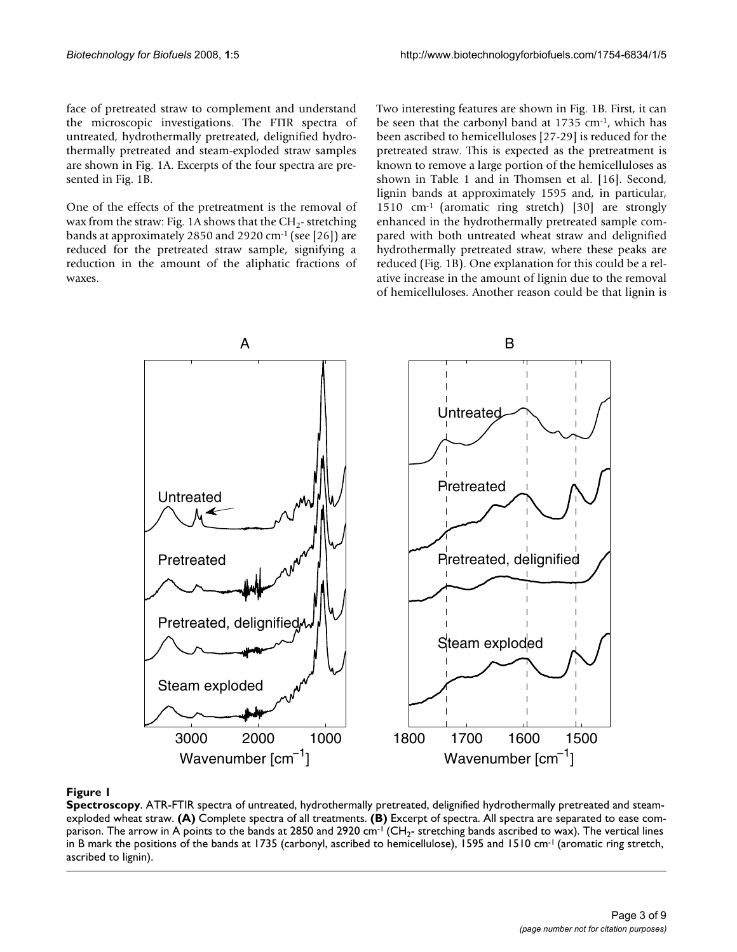face of pretreated straw to complement and understand the microscopic investigations. The FTIR spectra of untreated, hydrothermally pretreated, delignified hydrothermally pretreated and steam-exploded straw samples are shown in Fig. 1A. Excerpts of the four spectra are presented in Fig. 1B.

One of the effects of the pretreatment is the removal of wax from the straw: Fig. 1A shows that the  $CH_2$ - stretching bands at approximately 2850 and 2920 cm-1 (see [26]) are reduced for the pretreated straw sample, signifying a reduction in the amount of the aliphatic fractions of waxes.

Two interesting features are shown in Fig. 1B. First, it can be seen that the carbonyl band at 1735 cm-1, which has been ascribed to hemicelluloses [27-29] is reduced for the pretreated straw. This is expected as the pretreatment is known to remove a large portion of the hemicelluloses as shown in Table 1 and in Thomsen et al. [16]. Second, lignin bands at approximately 1595 and, in particular, 1510 cm-1 (aromatic ring stretch) [30] are strongly enhanced in the hydrothermally pretreated sample compared with both untreated wheat straw and delignified hydrothermally pretreated straw, where these peaks are reduced (Fig. 1B). One explanation for this could be a relative increase in the amount of lignin due to the removal of hemicelluloses. Another reason could be that lignin is



#### **Figure 1**

**Spectroscopy**. ATR-FTIR spectra of untreated, hydrothermally pretreated, delignified hydrothermally pretreated and steamexploded wheat straw. **(A)** Complete spectra of all treatments. **(B)** Excerpt of spectra. All spectra are separated to ease comparison. The arrow in A points to the bands at 2850 and 2920 cm<sup>-1</sup> (CH<sub>2</sub>- stretching bands ascribed to wax). The vertical lines in B mark the positions of the bands at 1735 (carbonyl, ascribed to hemicellulose), 1595 and 1510 cm<sup>-1</sup> (aromatic ring stretch, ascribed to lignin).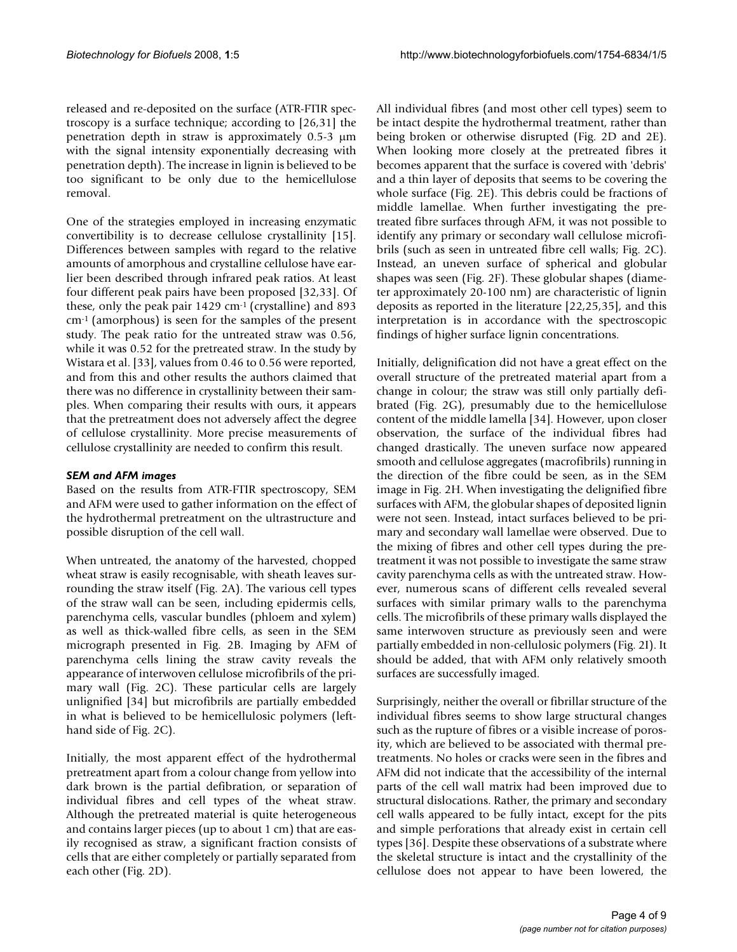released and re-deposited on the surface (ATR-FTIR spectroscopy is a surface technique; according to [26,31] the penetration depth in straw is approximately 0.5-3 μm with the signal intensity exponentially decreasing with penetration depth). The increase in lignin is believed to be too significant to be only due to the hemicellulose removal.

One of the strategies employed in increasing enzymatic convertibility is to decrease cellulose crystallinity [15]. Differences between samples with regard to the relative amounts of amorphous and crystalline cellulose have earlier been described through infrared peak ratios. At least four different peak pairs have been proposed [32,33]. Of these, only the peak pair  $1429 \text{ cm}^{-1}$  (crystalline) and 893 cm-1 (amorphous) is seen for the samples of the present study. The peak ratio for the untreated straw was 0.56, while it was 0.52 for the pretreated straw. In the study by Wistara et al. [33], values from 0.46 to 0.56 were reported, and from this and other results the authors claimed that there was no difference in crystallinity between their samples. When comparing their results with ours, it appears that the pretreatment does not adversely affect the degree of cellulose crystallinity. More precise measurements of cellulose crystallinity are needed to confirm this result.

#### *SEM and AFM images*

Based on the results from ATR-FTIR spectroscopy, SEM and AFM were used to gather information on the effect of the hydrothermal pretreatment on the ultrastructure and possible disruption of the cell wall.

When untreated, the anatomy of the harvested, chopped wheat straw is easily recognisable, with sheath leaves surrounding the straw itself (Fig. 2A). The various cell types of the straw wall can be seen, including epidermis cells, parenchyma cells, vascular bundles (phloem and xylem) as well as thick-walled fibre cells, as seen in the SEM micrograph presented in Fig. 2B. Imaging by AFM of parenchyma cells lining the straw cavity reveals the appearance of interwoven cellulose microfibrils of the primary wall (Fig. 2C). These particular cells are largely unlignified [34] but microfibrils are partially embedded in what is believed to be hemicellulosic polymers (lefthand side of Fig. 2C).

Initially, the most apparent effect of the hydrothermal pretreatment apart from a colour change from yellow into dark brown is the partial defibration, or separation of individual fibres and cell types of the wheat straw. Although the pretreated material is quite heterogeneous and contains larger pieces (up to about 1 cm) that are easily recognised as straw, a significant fraction consists of cells that are either completely or partially separated from each other (Fig. 2D).

All individual fibres (and most other cell types) seem to be intact despite the hydrothermal treatment, rather than being broken or otherwise disrupted (Fig. 2D and 2E). When looking more closely at the pretreated fibres it becomes apparent that the surface is covered with 'debris' and a thin layer of deposits that seems to be covering the whole surface (Fig. 2E). This debris could be fractions of middle lamellae. When further investigating the pretreated fibre surfaces through AFM, it was not possible to identify any primary or secondary wall cellulose microfibrils (such as seen in untreated fibre cell walls; Fig. 2C). Instead, an uneven surface of spherical and globular shapes was seen (Fig. 2F). These globular shapes (diameter approximately 20-100 nm) are characteristic of lignin deposits as reported in the literature [22,25,35], and this interpretation is in accordance with the spectroscopic findings of higher surface lignin concentrations.

Initially, delignification did not have a great effect on the overall structure of the pretreated material apart from a change in colour; the straw was still only partially defibrated (Fig. 2G), presumably due to the hemicellulose content of the middle lamella [34]. However, upon closer observation, the surface of the individual fibres had changed drastically. The uneven surface now appeared smooth and cellulose aggregates (macrofibrils) running in the direction of the fibre could be seen, as in the SEM image in Fig. 2H. When investigating the delignified fibre surfaces with AFM, the globular shapes of deposited lignin were not seen. Instead, intact surfaces believed to be primary and secondary wall lamellae were observed. Due to the mixing of fibres and other cell types during the pretreatment it was not possible to investigate the same straw cavity parenchyma cells as with the untreated straw. However, numerous scans of different cells revealed several surfaces with similar primary walls to the parenchyma cells. The microfibrils of these primary walls displayed the same interwoven structure as previously seen and were partially embedded in non-cellulosic polymers (Fig. 2I). It should be added, that with AFM only relatively smooth surfaces are successfully imaged.

Surprisingly, neither the overall or fibrillar structure of the individual fibres seems to show large structural changes such as the rupture of fibres or a visible increase of porosity, which are believed to be associated with thermal pretreatments. No holes or cracks were seen in the fibres and AFM did not indicate that the accessibility of the internal parts of the cell wall matrix had been improved due to structural dislocations. Rather, the primary and secondary cell walls appeared to be fully intact, except for the pits and simple perforations that already exist in certain cell types [36]. Despite these observations of a substrate where the skeletal structure is intact and the crystallinity of the cellulose does not appear to have been lowered, the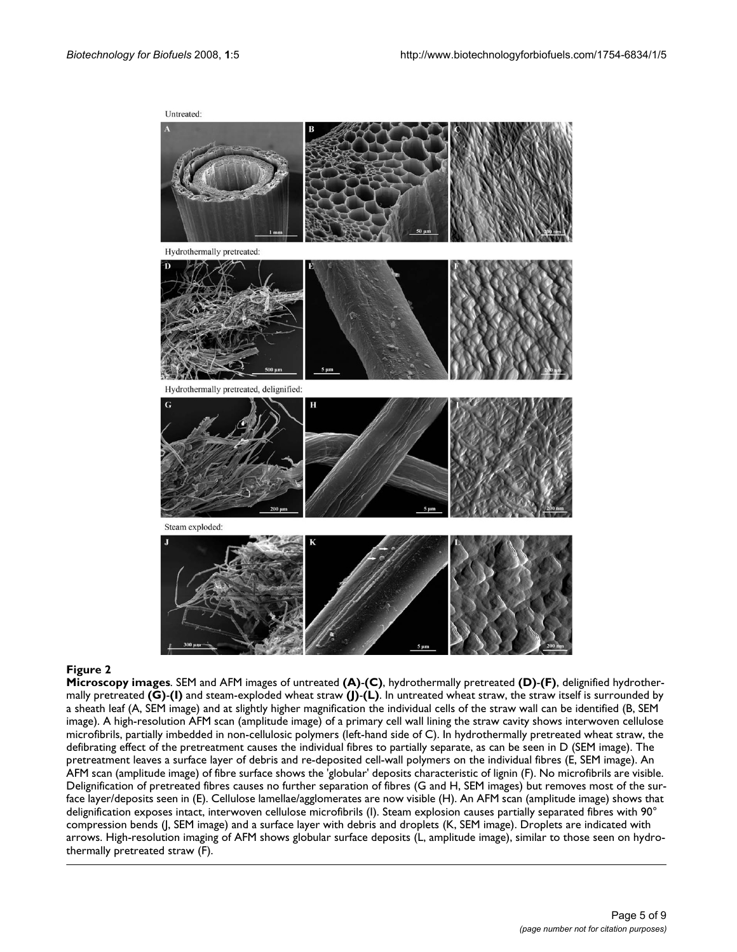

#### **Figure 2**

**Microscopy images**. SEM and AFM images of untreated **(A)**-**(C)**, hydrothermally pretreated **(D)**-**(F)**, delignified hydrothermally pretreated **(G)**-**(I)** and steam-exploded wheat straw **(J)**-**(L)**. In untreated wheat straw, the straw itself is surrounded by a sheath leaf (A, SEM image) and at slightly higher magnification the individual cells of the straw wall can be identified (B, SEM image). A high-resolution AFM scan (amplitude image) of a primary cell wall lining the straw cavity shows interwoven cellulose microfibrils, partially imbedded in non-cellulosic polymers (left-hand side of C). In hydrothermally pretreated wheat straw, the defibrating effect of the pretreatment causes the individual fibres to partially separate, as can be seen in D (SEM image). The pretreatment leaves a surface layer of debris and re-deposited cell-wall polymers on the individual fibres (E, SEM image). An AFM scan (amplitude image) of fibre surface shows the 'globular' deposits characteristic of lignin (F). No microfibrils are visible. Delignification of pretreated fibres causes no further separation of fibres (G and H, SEM images) but removes most of the surface layer/deposits seen in (E). Cellulose lamellae/agglomerates are now visible (H). An AFM scan (amplitude image) shows that delignification exposes intact, interwoven cellulose microfibrils (I). Steam explosion causes partially separated fibres with 90° compression bends (J, SEM image) and a surface layer with debris and droplets (K, SEM image). Droplets are indicated with arrows. High-resolution imaging of AFM shows globular surface deposits (L, amplitude image), similar to those seen on hydrothermally pretreated straw (F).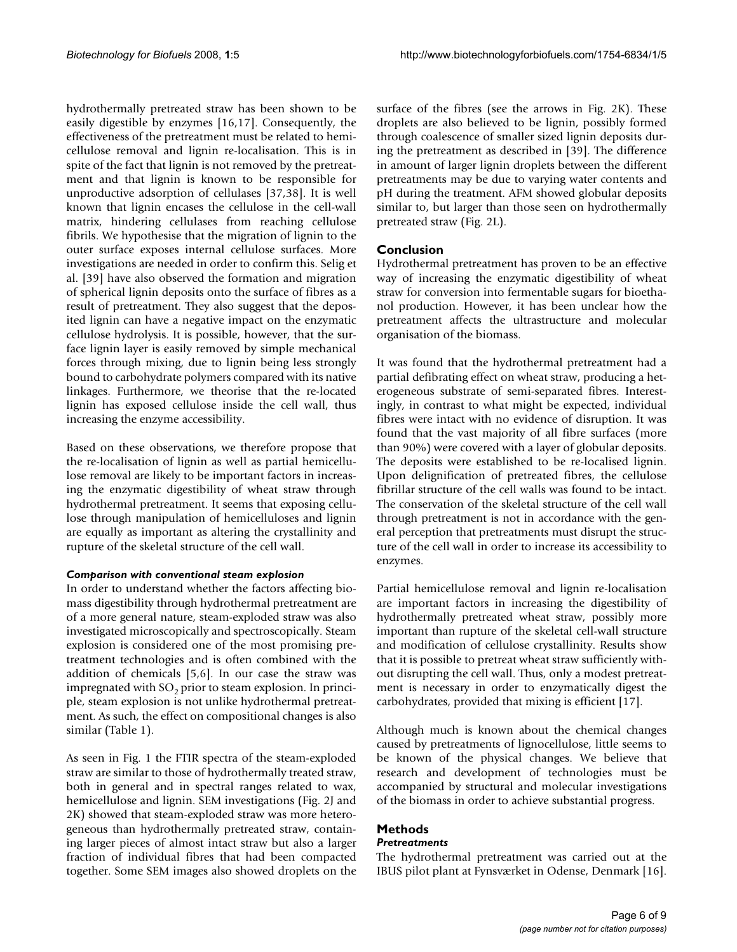hydrothermally pretreated straw has been shown to be easily digestible by enzymes [16,17]. Consequently, the effectiveness of the pretreatment must be related to hemicellulose removal and lignin re-localisation. This is in spite of the fact that lignin is not removed by the pretreatment and that lignin is known to be responsible for unproductive adsorption of cellulases [37,38]. It is well known that lignin encases the cellulose in the cell-wall matrix, hindering cellulases from reaching cellulose fibrils. We hypothesise that the migration of lignin to the outer surface exposes internal cellulose surfaces. More investigations are needed in order to confirm this. Selig et al. [39] have also observed the formation and migration of spherical lignin deposits onto the surface of fibres as a result of pretreatment. They also suggest that the deposited lignin can have a negative impact on the enzymatic cellulose hydrolysis. It is possible, however, that the surface lignin layer is easily removed by simple mechanical forces through mixing, due to lignin being less strongly bound to carbohydrate polymers compared with its native linkages. Furthermore, we theorise that the re-located lignin has exposed cellulose inside the cell wall, thus increasing the enzyme accessibility.

Based on these observations, we therefore propose that the re-localisation of lignin as well as partial hemicellulose removal are likely to be important factors in increasing the enzymatic digestibility of wheat straw through hydrothermal pretreatment. It seems that exposing cellulose through manipulation of hemicelluloses and lignin are equally as important as altering the crystallinity and rupture of the skeletal structure of the cell wall.

#### *Comparison with conventional steam explosion*

In order to understand whether the factors affecting biomass digestibility through hydrothermal pretreatment are of a more general nature, steam-exploded straw was also investigated microscopically and spectroscopically. Steam explosion is considered one of the most promising pretreatment technologies and is often combined with the addition of chemicals [5,6]. In our case the straw was impregnated with  $SO<sub>2</sub>$  prior to steam explosion. In principle, steam explosion is not unlike hydrothermal pretreatment. As such, the effect on compositional changes is also similar (Table 1).

As seen in Fig. 1 the FTIR spectra of the steam-exploded straw are similar to those of hydrothermally treated straw, both in general and in spectral ranges related to wax, hemicellulose and lignin. SEM investigations (Fig. 2J and 2K) showed that steam-exploded straw was more heterogeneous than hydrothermally pretreated straw, containing larger pieces of almost intact straw but also a larger fraction of individual fibres that had been compacted together. Some SEM images also showed droplets on the surface of the fibres (see the arrows in Fig. 2K). These droplets are also believed to be lignin, possibly formed through coalescence of smaller sized lignin deposits during the pretreatment as described in [39]. The difference in amount of larger lignin droplets between the different pretreatments may be due to varying water contents and pH during the treatment. AFM showed globular deposits similar to, but larger than those seen on hydrothermally pretreated straw (Fig. 2L).

### **Conclusion**

Hydrothermal pretreatment has proven to be an effective way of increasing the enzymatic digestibility of wheat straw for conversion into fermentable sugars for bioethanol production. However, it has been unclear how the pretreatment affects the ultrastructure and molecular organisation of the biomass.

It was found that the hydrothermal pretreatment had a partial defibrating effect on wheat straw, producing a heterogeneous substrate of semi-separated fibres. Interestingly, in contrast to what might be expected, individual fibres were intact with no evidence of disruption. It was found that the vast majority of all fibre surfaces (more than 90%) were covered with a layer of globular deposits. The deposits were established to be re-localised lignin. Upon delignification of pretreated fibres, the cellulose fibrillar structure of the cell walls was found to be intact. The conservation of the skeletal structure of the cell wall through pretreatment is not in accordance with the general perception that pretreatments must disrupt the structure of the cell wall in order to increase its accessibility to enzymes.

Partial hemicellulose removal and lignin re-localisation are important factors in increasing the digestibility of hydrothermally pretreated wheat straw, possibly more important than rupture of the skeletal cell-wall structure and modification of cellulose crystallinity. Results show that it is possible to pretreat wheat straw sufficiently without disrupting the cell wall. Thus, only a modest pretreatment is necessary in order to enzymatically digest the carbohydrates, provided that mixing is efficient [17].

Although much is known about the chemical changes caused by pretreatments of lignocellulose, little seems to be known of the physical changes. We believe that research and development of technologies must be accompanied by structural and molecular investigations of the biomass in order to achieve substantial progress.

#### **Methods** *Pretreatments*

The hydrothermal pretreatment was carried out at the IBUS pilot plant at Fynsværket in Odense, Denmark [16].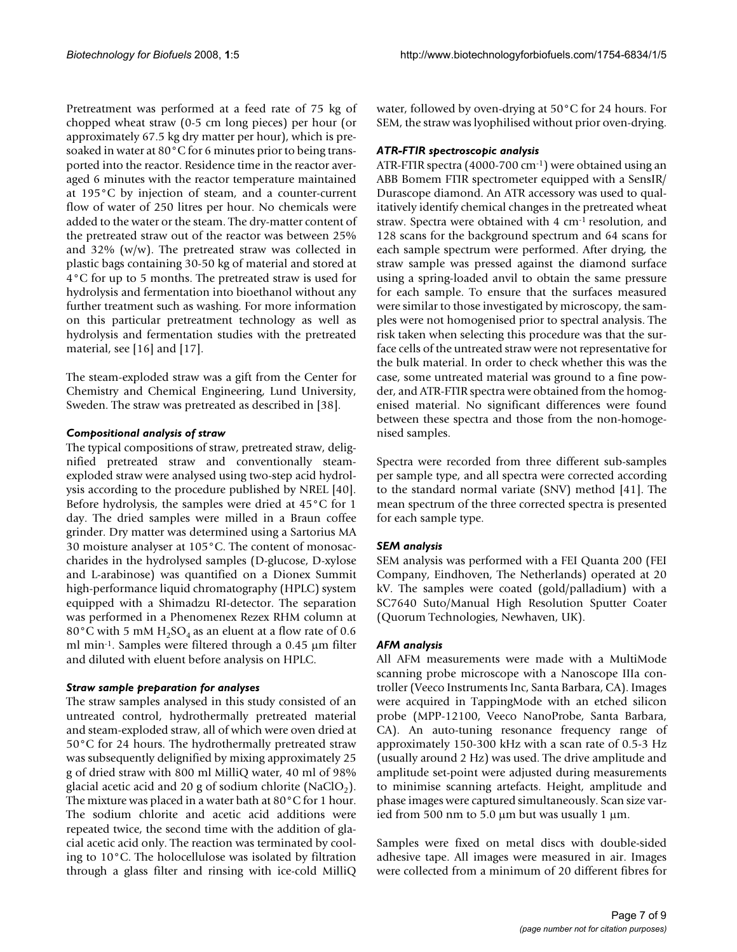Pretreatment was performed at a feed rate of 75 kg of chopped wheat straw (0-5 cm long pieces) per hour (or approximately 67.5 kg dry matter per hour), which is presoaked in water at 80°C for 6 minutes prior to being transported into the reactor. Residence time in the reactor averaged 6 minutes with the reactor temperature maintained at 195°C by injection of steam, and a counter-current flow of water of 250 litres per hour. No chemicals were added to the water or the steam. The dry-matter content of the pretreated straw out of the reactor was between 25% and 32% ( $w/w$ ). The pretreated straw was collected in plastic bags containing 30-50 kg of material and stored at 4°C for up to 5 months. The pretreated straw is used for hydrolysis and fermentation into bioethanol without any further treatment such as washing. For more information on this particular pretreatment technology as well as hydrolysis and fermentation studies with the pretreated material, see [16] and [17].

The steam-exploded straw was a gift from the Center for Chemistry and Chemical Engineering, Lund University, Sweden. The straw was pretreated as described in [38].

#### *Compositional analysis of straw*

The typical compositions of straw, pretreated straw, delignified pretreated straw and conventionally steamexploded straw were analysed using two-step acid hydrolysis according to the procedure published by NREL [40]. Before hydrolysis, the samples were dried at 45°C for 1 day. The dried samples were milled in a Braun coffee grinder. Dry matter was determined using a Sartorius MA 30 moisture analyser at 105°C. The content of monosaccharides in the hydrolysed samples (D-glucose, D-xylose and L-arabinose) was quantified on a Dionex Summit high-performance liquid chromatography (HPLC) system equipped with a Shimadzu RI-detector. The separation was performed in a Phenomenex Rezex RHM column at 80°C with 5 mM  $H_2SO_4$  as an eluent at a flow rate of 0.6 ml min-1. Samples were filtered through a 0.45 μm filter and diluted with eluent before analysis on HPLC.

#### *Straw sample preparation for analyses*

The straw samples analysed in this study consisted of an untreated control, hydrothermally pretreated material and steam-exploded straw, all of which were oven dried at 50°C for 24 hours. The hydrothermally pretreated straw was subsequently delignified by mixing approximately 25 g of dried straw with 800 ml MilliQ water, 40 ml of 98% glacial acetic acid and 20 g of sodium chlorite (NaClO<sub>2</sub>). The mixture was placed in a water bath at 80°C for 1 hour. The sodium chlorite and acetic acid additions were repeated twice, the second time with the addition of glacial acetic acid only. The reaction was terminated by cooling to 10°C. The holocellulose was isolated by filtration through a glass filter and rinsing with ice-cold MilliQ

water, followed by oven-drying at 50°C for 24 hours. For SEM, the straw was lyophilised without prior oven-drying.

#### *ATR-FTIR spectroscopic analysis*

ATR-FTIR spectra (4000-700 cm-1) were obtained using an ABB Bomem FTIR spectrometer equipped with a SensIR/ Durascope diamond. An ATR accessory was used to qualitatively identify chemical changes in the pretreated wheat straw. Spectra were obtained with 4 cm-1 resolution, and 128 scans for the background spectrum and 64 scans for each sample spectrum were performed. After drying, the straw sample was pressed against the diamond surface using a spring-loaded anvil to obtain the same pressure for each sample. To ensure that the surfaces measured were similar to those investigated by microscopy, the samples were not homogenised prior to spectral analysis. The risk taken when selecting this procedure was that the surface cells of the untreated straw were not representative for the bulk material. In order to check whether this was the case, some untreated material was ground to a fine powder, and ATR-FTIR spectra were obtained from the homogenised material. No significant differences were found between these spectra and those from the non-homogenised samples.

Spectra were recorded from three different sub-samples per sample type, and all spectra were corrected according to the standard normal variate (SNV) method [41]. The mean spectrum of the three corrected spectra is presented for each sample type.

#### *SEM analysis*

SEM analysis was performed with a FEI Quanta 200 (FEI Company, Eindhoven, The Netherlands) operated at 20 kV. The samples were coated (gold/palladium) with a SC7640 Suto/Manual High Resolution Sputter Coater (Quorum Technologies, Newhaven, UK).

#### *AFM analysis*

All AFM measurements were made with a MultiMode scanning probe microscope with a Nanoscope IIIa controller (Veeco Instruments Inc, Santa Barbara, CA). Images were acquired in TappingMode with an etched silicon probe (MPP-12100, Veeco NanoProbe, Santa Barbara, CA). An auto-tuning resonance frequency range of approximately 150-300 kHz with a scan rate of 0.5-3 Hz (usually around 2 Hz) was used. The drive amplitude and amplitude set-point were adjusted during measurements to minimise scanning artefacts. Height, amplitude and phase images were captured simultaneously. Scan size varied from 500 nm to 5.0 μm but was usually 1 μm.

Samples were fixed on metal discs with double-sided adhesive tape. All images were measured in air. Images were collected from a minimum of 20 different fibres for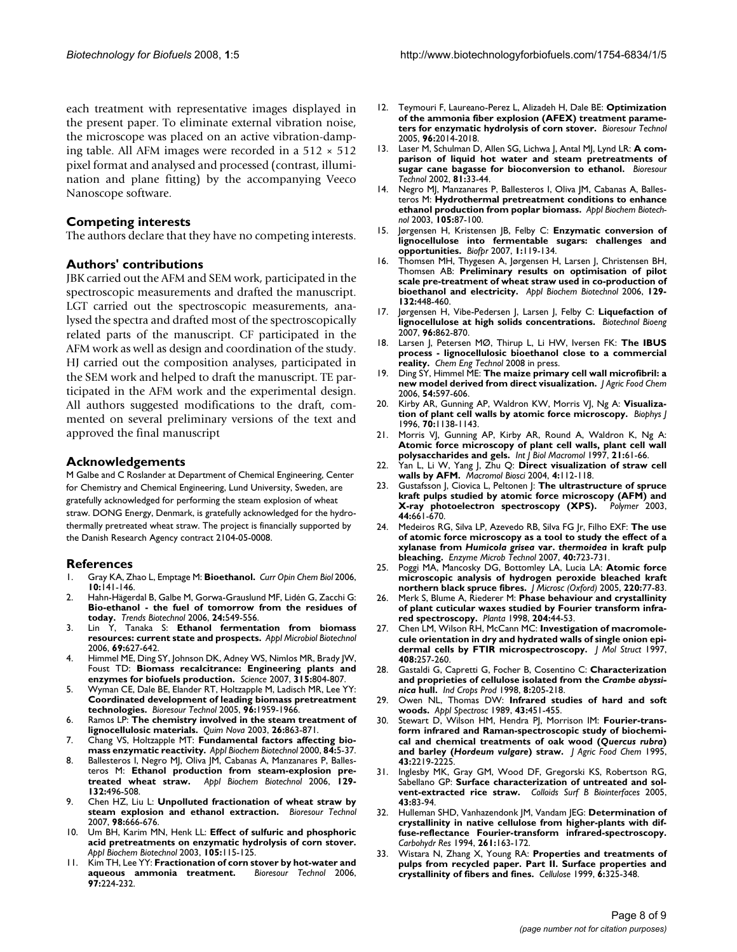each treatment with representative images displayed in the present paper. To eliminate external vibration noise, the microscope was placed on an active vibration-damping table. All AFM images were recorded in a  $512 \times 512$ pixel format and analysed and processed (contrast, illumination and plane fitting) by the accompanying Veeco Nanoscope software.

#### **Competing interests**

The authors declare that they have no competing interests.

#### **Authors' contributions**

JBK carried out the AFM and SEM work, participated in the spectroscopic measurements and drafted the manuscript. LGT carried out the spectroscopic measurements, analysed the spectra and drafted most of the spectroscopically related parts of the manuscript. CF participated in the AFM work as well as design and coordination of the study. HJ carried out the composition analyses, participated in the SEM work and helped to draft the manuscript. TE participated in the AFM work and the experimental design. All authors suggested modifications to the draft, commented on several preliminary versions of the text and approved the final manuscript

#### **Acknowledgements**

M Galbe and C Roslander at Department of Chemical Engineering, Center for Chemistry and Chemical Engineering, Lund University, Sweden, are gratefully acknowledged for performing the steam explosion of wheat straw. DONG Energy, Denmark, is gratefully acknowledged for the hydrothermally pretreated wheat straw. The project is financially supported by the Danish Research Agency contract 2104-05-0008.

#### **References**

- 1. Gray KA, Zhao L, Emptage M: **Bioethanol.** *Curr Opin Chem Biol* 2006, **10:**141-146.
- 2. Hahn-Hägerdal B, Galbe M, Gorwa-Grauslund MF, Lidén G, Zacchi G: **Bio-ethanol - the fuel of tomorrow from the residues of today.** *Trends Biotechnol* 2006, **24:**549-556.
- 3. Lin Y, Tanaka S: **Ethanol fermentation from biomass resources: current state and prospects.** *Appl Microbiol Biotechnol* 2006, **69:**627-642.
- 4. Himmel ME, Ding SY, Johnson DK, Adney WS, Nimlos MR, Brady JW, Foust TD: **Biomass recalcitrance: Engineering plants and enzymes for biofuels production.** *Science* 2007, **315:**804-807.
- 5. Wyman CE, Dale BE, Elander RT, Holtzapple M, Ladisch MR, Lee YY: **Coordinated development of leading biomass pretreatment technologies.** *Bioresour Technol* 2005, **96:**1959-1966.
- 6. Ramos LP: **The chemistry involved in the steam treatment of lignocellulosic materials.** *Quim Nova* 2003, **26:**863-871.
- 7. Chang VS, Holtzapple MT: **Fundamental factors affecting biomass enzymatic reactivity.** *Appl Biochem Biotechnol* 2000, **84:**5-37.
- 8. Ballesteros I, Negro MJ, Oliva JM, Cabanas A, Manzanares P, Ballesteros M: **Ethanol production from steam-explosion pretreated wheat straw.** *Appl Biochem Biotechnol* 2006, **129- 132:**496-508.
- 9. Chen HZ, Liu L: **Unpolluted fractionation of wheat straw by steam explosion and ethanol extraction.** *Bioresour Technol* 2007, **98:**666-676.
- 10. Um BH, Karim MN, Henk LL: **Effect of sulfuric and phosphoric acid pretreatments on enzymatic hydrolysis of corn stover.** *Appl Biochem Biotechnol* 2003, **105:**115-125.
- 11. Kim TH, Lee YY: **Fractionation of corn stover by hot-water and aqueous ammonia treatment.** *Bioresour Technol* 2006, **97:**224-232.
- 12. Teymouri F, Laureano-Perez L, Alizadeh H, Dale BE: **Optimization of the ammonia fiber explosion (AFEX) treatment parameters for enzymatic hydrolysis of corn stover.** *Bioresour Technol* 2005, **96:**2014-2018.
- 13. Laser M, Schulman D, Allen SG, Lichwa J, Antal MJ, Lynd LR: **A comparison of liquid hot water and steam pretreatments of sugar cane bagasse for bioconversion to ethanol.** *Bioresour Technol* 2002, **81:**33-44.
- 14. Negro MJ, Manzanares P, Ballesteros I, Oliva JM, Cabanas A, Ballesteros M: **Hydrothermal pretreatment conditions to enhance ethanol production from poplar biomass.** *Appl Biochem Biotechnol* 2003, **105:**87-100.
- 15. Jørgensen H, Kristensen JB, Felby C: **Enzymatic conversion of lignocellulose into fermentable sugars: challenges and opportunities.** *Biofpr* 2007, **1:**119-134.
- 16. Thomsen MH, Thygesen A, Jørgensen H, Larsen J, Christensen BH, Thomsen AB: **Preliminary results on optimisation of pilot scale pre-treatment of wheat straw used in co-production of bioethanol and electricity.** *Appl Biochem Biotechnol* 2006, **129- 132:**448-460.
- 17. Jørgensen H, Vibe-Pedersen J, Larsen J, Felby C: **Liquefaction of lignocellulose at high solids concentrations.** *Biotechnol Bioeng* 2007, **96:**862-870.
- 18. Larsen J, Petersen MØ, Thirup L, Li HW, Iversen FK: **The IBUS process - lignocellulosic bioethanol close to a commercial reality.** *Chem Eng Technol* 2008 in press.
- 19. Ding SY, Himmel ME: **The maize primary cell wall microfibril: a new model derived from direct visualization.** *J Agric Food Chem* 2006, **54:**597-606.
- 20. Kirby AR, Gunning AP, Waldron KW, Morris VJ, Ng A: **Visualization of plant cell walls by atomic force microscopy.** *Biophys J* 1996, **70:**1138-1143.
- 21. Morris VJ, Gunning AP, Kirby AR, Round A, Waldron K, Ng A: **Atomic force microscopy of plant cell walls, plant cell wall polysaccharides and gels.** *Int J Biol Macromol* 1997, **21:**61-66.
- 22. Yan L, Li W, Yang J, Zhu Q: **Direct visualization of straw cell walls by AFM.** *Macromol Biosci* 2004, **4:**112-118.
- 23. Gustafsson J, Ciovica L, Peltonen J: **The ultrastructure of spruce kraft pulps studied by atomic force microscopy (AFM) and X-ray photoelectron spectroscopy (XPS). 44:**661-670.
- 24. Medeiros RG, Silva LP, Azevedo RB, Silva FG Jr, Filho EXF: **The use of atomic force microscopy as a tool to study the effect of a xylanase from** *Humicola grisea* **var.** *thermoidea* **in kraft pulp bleaching.** *Enzyme Microb Technol* 2007, **40:**723-731.
- 25. Poggi MA, Mancosky DG, Bottomley LA, Lucia LA: **Atomic force microscopic analysis of hydrogen peroxide bleached kraft northern black spruce fibres.** *J Microsc (Oxford)* 2005, **220:**77-83.
- 26. Merk S, Blume A, Riederer M: **Phase behaviour and crystallinity of plant cuticular waxes studied by Fourier transform infrared spectroscopy.** *Planta* 1998, **204:**44-53.
- 27. Chen LM, Wilson RH, McCann MC: **Investigation of macromolecule orientation in dry and hydrated walls of single onion epidermal cells by FTIR microspectroscopy.** *J Mol Struct* 1997, **408:**257-260.
- 28. Gastaldi G, Capretti G, Focher B, Cosentino C: **Characterization and proprieties of cellulose isolated from the** *Crambe abyssinica* **hull.** *Ind Crops Prod* 1998, **8:**205-218.
- 29. Owen NL, Thomas DW: **Infrared studies of hard and soft woods.** *Appl Spectrosc* 1989, **43:**451-455.
- 30. Stewart D, Wilson HM, Hendra PJ, Morrison IM: **Fourier-transform infrared and Raman-spectroscopic study of biochemical and chemical treatments of oak wood (***Quercus rubra***) and barley (***Hordeum vulgare***) straw.** *J Agric Food Chem* 1995, **43:**2219-2225.
- 31. Inglesby MK, Gray GM, Wood DF, Gregorski KS, Robertson RG, Sabellano GP: **Surface characterization of untreated and solvent-extracted rice straw.** *Colloids Surf B Biointerfaces* 2005, **43:**83-94.
- 32. Hulleman SHD, Vanhazendonk JM, Vandam JEG: **Determination of crystallinity in native cellulose from higher-plants with diffuse-reflectance Fourier-transform infrared-spectroscopy.** *Carbohydr Res* 1994, **261:**163-172.
- 33. Wistara N, Zhang X, Young RA: **Properties and treatments of pulps from recycled paper. Part II. Surface properties and crystallinity of fibers and fines.** *Cellulose* 1999, **6:**325-348.